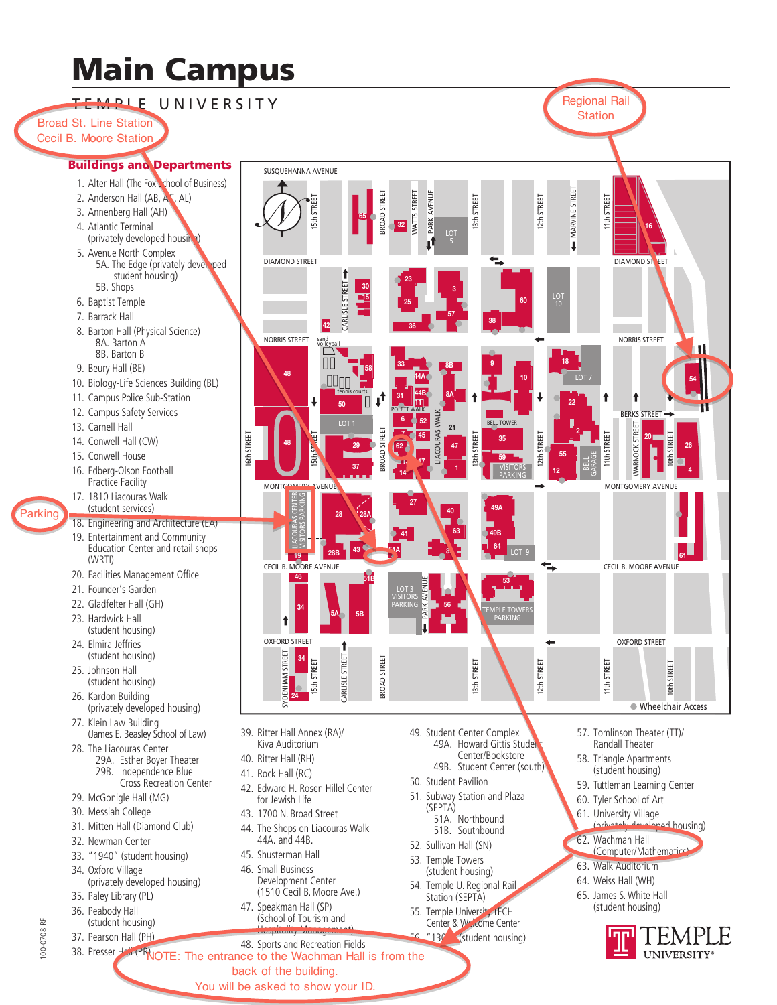# **Main Campus**

**TEMPLE UNIVERSITY** 

**Broad St. Line Station** Cecil B. Moore Station

## **Buildings and Departments**

- 1. Alter Hall (The Foxt chool of Business)
- 2. Anderson Hall (AB, AC, AL)
- 3. Annenberg Hall (AH)
- 4. Atlantic Terminal (privately developed housing
- 5. Avenue North Complex 5A. The Edge (privately dever ped student housing) 5B. Shops
- 6. Baptist Temple
- 7. Barrack Hall
- 8. Barton Hall (Physical Science) 8A. Barton A 8B. Barton B
- 9. Beury Hall (BE)
- 10. Biology-Life Sciences Building (BL)
- 11. Campus Police Sub-Station
- 12. Campus Safety Services
- 13. Carnell Hall
- 14. Conwell Hall (CW)
- 15. Conwell House
- 16. Edberg-Olson Football Practice Facility 17. 1810 Liacouras Walk
- Parkinc
	- (student services) 18. Engineering and Architecture (EA) 19. Entertainment and Community Education Center and retail shops
	- (WRTI) 20. Facilities Management Office
	- 21. Founder's Garden
	- 22. Gladfelter Hall (GH)
	- 23. Hardwick Hall
	- (student housing) 24. Elmira Jeffries
	- (student housing) 25. Johnson Hall
	- (student housing) 26. Kardon Building
	- (privately developed housing) 27. Klein Law Building
	- (James E. Beasley School of Law) 28. The Liacouras Center
	- 29A. Esther Boyer Theater 29B. Independence Blue Cross Recreation Center
	- 29. McGonigle Hall (MG)
	- 30. Messiah College
	- 31. Mitten Hall (Diamond Club)
	- 32. Newman Center
	- 33. "1940" (student housing)
	- 34. Oxford Village (privately developed housing)
	- 35. Paley Library (PL) 36. Peabody Hall
	- (student housing) 37. Pearson Hall (PH)
	-



CECIL B. MOORE AVENUE

46

₳

**OXFORD STREET** 

34

STREET

SUSOUEHANNA AVENUE

**DIAMOND STREET** 

NORRIS STREET

48

**MONTO** 

I6th STREET

5th STREE

ROAD STREE

**JAD STREET** 

BROAD STREET

 $3<sup>0</sup>$ 

**CARLISLE STREET** 

l42

VENUE

AVENUI

ARK.

**COURAS WAL** 52

 $21$ 

 $47$ 

STREET

3th STREET

- 39. Ritter Hall Annex (RA)/ Kiva Auditorium
- 40. Ritter Hall (RH)
- 41. Rock Hall (RC)
- 42. Edward H. Rosen Hillel Center for Jewish Life
- 43. 1700 N. Broad Street
- 44. The Shops on Liacouras Walk 44A. and 44B.
- 45. Shusterman Hall 46. Small Business Development Center (1510 Cecil B. Moore Ave.)
- 47. Speakman Hall (SP) (School of Tourism and
- 48. Sports and Recreation Fields 38. Presser Half (PRNOTE: The entrance to the Wachman Hall is from the
	- You will be asked to show your ID.

49. Student Center Complex 49A. Howard Gittis Studen Center/Bookstore 49B. Student Center (south)

13th STREE

- 50. Student Pavilion
- 51. Subway Station and Plaza (SEPTA) 51A. Northbound
- 51B. Southbound 52. Sullivan Hall (SN)
- 53. Temple Towers
- (student housing) 54. Temple U. Regional Rail
- Station (SEPTA) 55. Temple University IECH Center & Warcome Center
	- $"130"$ (student housing)
- 57. Tomlinson Theater (TT)/ Randall Theater
- 58. Triangle Apartments (student housing)

11th STREE

**Regional Rail** 

**Station** 

1th STREET

↑

11th STREET

**DIAMOND ST** 

NORRIS STREET

**RERKS STREET** 

STREET

**MARNOCK** 

MONTGOMERY AVENUE

CECIL B. MOORE AVENUE

**OXFORD STREET** 

STREET

ioth

· Wheelchair Access

EET

п

**MARVINE STREE** 

 $\overline{\mathbf{I}}$ 

 $\frac{10}{10}$ 

12th STREET

12th STREET

↳

12th STREET

ple to

- 59. Tuttleman Learning Center
- 60. Tyler School of Art
- 61. University Village d housing)  $(nriiv$
- 62. Wachman Hall
- (Computer/Mathematics)
- 63. Walk Auditorium
- 64. Weiss Hall (WH)
- 65. James S. White Hall (student housing)